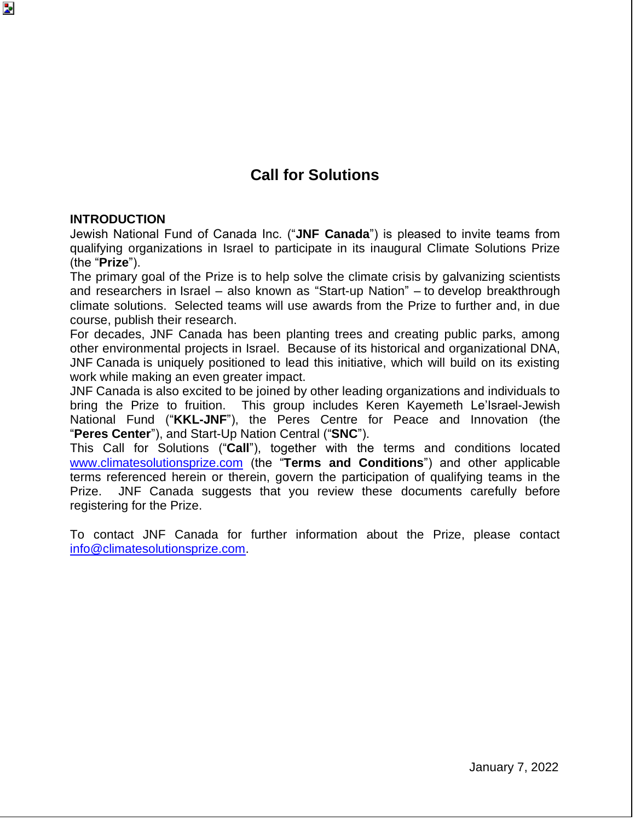## **Call for Solutions**

#### **INTRODUCTION**

Þ.

Jewish National Fund of Canada Inc. ("**JNF Canada**") is pleased to invite teams from qualifying organizations in Israel to participate in its inaugural Climate Solutions Prize (the "**Prize**").

The primary goal of the Prize is to help solve the climate crisis by galvanizing scientists and researchers in Israel – also known as "Start-up Nation" – to develop breakthrough climate solutions. Selected teams will use awards from the Prize to further and, in due course, publish their research.

For decades, JNF Canada has been planting trees and creating public parks, among other environmental projects in Israel. Because of its historical and organizational DNA, JNF Canada is uniquely positioned to lead this initiative, which will build on its existing work while making an even greater impact.

JNF Canada is also excited to be joined by other leading organizations and individuals to bring the Prize to fruition. This group includes Keren Kayemeth Le'Israel-Jewish National Fund ("**KKL-JNF**"), the Peres Centre for Peace and Innovation (the "**Peres Center**"), and Start-Up Nation Central ("**SNC**").

This Call for Solutions ("**Call**"), together with the terms and conditions located [www.climatesolutionsprize.com](http://www.climatesolutionsprize.com/) (the "**Terms and Conditions**") and other applicable terms referenced herein or therein, govern the participation of qualifying teams in the Prize. JNF Canada suggests that you review these documents carefully before registering for the Prize.

To contact JNF Canada for further information about the Prize, please contact [info@climatesolutionsprize.com.](mailto:info@climatesolutionsprize.com)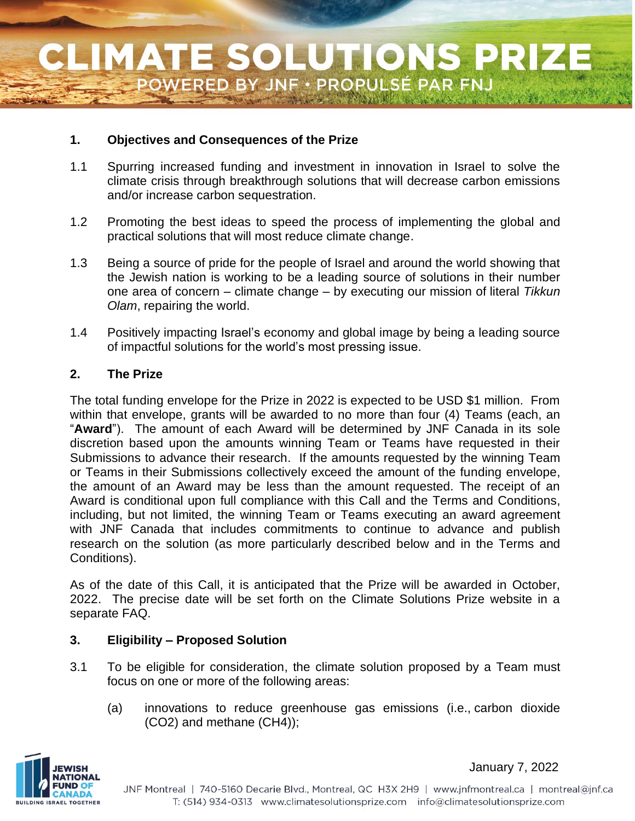### **1. Objectives and Consequences of the Prize**

- 1.1 Spurring increased funding and investment in innovation in Israel to solve the climate crisis through breakthrough solutions that will decrease carbon emissions and/or increase carbon sequestration.
- 1.2 Promoting the best ideas to speed the process of implementing the global and practical solutions that will most reduce climate change.
- 1.3 Being a source of pride for the people of Israel and around the world showing that the Jewish nation is working to be a leading source of solutions in their number one area of concern – climate change – by executing our mission of literal *Tikkun Olam*, repairing the world.
- 1.4 Positively impacting Israel's economy and global image by being a leading source of impactful solutions for the world's most pressing issue.

#### **2. The Prize**

The total funding envelope for the Prize in 2022 is expected to be USD \$1 million. From within that envelope, grants will be awarded to no more than four (4) Teams (each, an "**Award**"). The amount of each Award will be determined by JNF Canada in its sole discretion based upon the amounts winning Team or Teams have requested in their Submissions to advance their research. If the amounts requested by the winning Team or Teams in their Submissions collectively exceed the amount of the funding envelope, the amount of an Award may be less than the amount requested. The receipt of an Award is conditional upon full compliance with this Call and the Terms and Conditions, including, but not limited, the winning Team or Teams executing an award agreement with JNF Canada that includes commitments to continue to advance and publish research on the solution (as more particularly described below and in the Terms and Conditions).

As of the date of this Call, it is anticipated that the Prize will be awarded in October, 2022. The precise date will be set forth on the Climate Solutions Prize website in a separate FAQ.

#### **3. Eligibility – Proposed Solution**

- 3.1 To be eligible for consideration, the climate solution proposed by a Team must focus on one or more of the following areas:
	- (a) innovations to reduce greenhouse gas emissions (i.e., carbon dioxide (CO2) and methane (CH4));

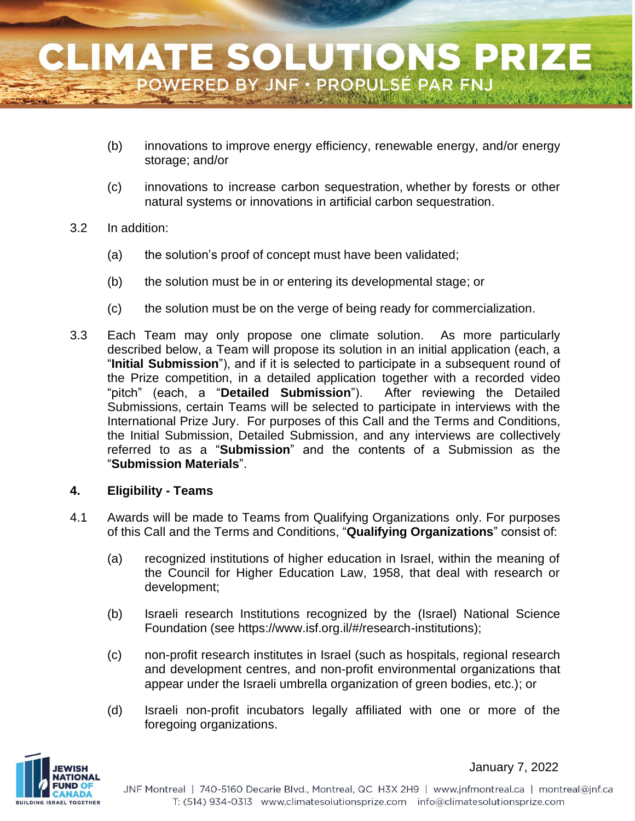- (b) innovations to improve energy efficiency, renewable energy, and/or energy storage; and/or
- (c) innovations to increase carbon sequestration, whether by forests or other natural systems or innovations in artificial carbon sequestration.

#### 3.2 In addition:

- (a) the solution's proof of concept must have been validated;
- (b) the solution must be in or entering its developmental stage; or
- (c) the solution must be on the verge of being ready for commercialization.
- 3.3 Each Team may only propose one climate solution. As more particularly described below, a Team will propose its solution in an initial application (each, a "**Initial Submission**"), and if it is selected to participate in a subsequent round of the Prize competition, in a detailed application together with a recorded video "pitch" (each, a "**Detailed Submission**"). After reviewing the Detailed Submissions, certain Teams will be selected to participate in interviews with the International Prize Jury. For purposes of this Call and the Terms and Conditions, the Initial Submission, Detailed Submission, and any interviews are collectively referred to as a "**Submission**" and the contents of a Submission as the "**Submission Materials**".

#### **4. Eligibility - Teams**

- 4.1 Awards will be made to Teams from Qualifying Organizations only. For purposes of this Call and the Terms and Conditions, "**Qualifying Organizations**" consist of:
	- (a) recognized institutions of higher education in Israel, within the meaning of the Council for Higher Education Law, 1958, that deal with research or development;
	- (b) Israeli research Institutions recognized by the (Israel) National Science Foundation (see https://www.isf.org.il/#/research-institutions);
	- (c) non-profit research institutes in Israel (such as hospitals, regional research and development centres, and non-profit environmental organizations that appear under the Israeli umbrella organization of green bodies, etc.); or
	- (d) Israeli non-profit incubators legally affiliated with one or more of the foregoing organizations.

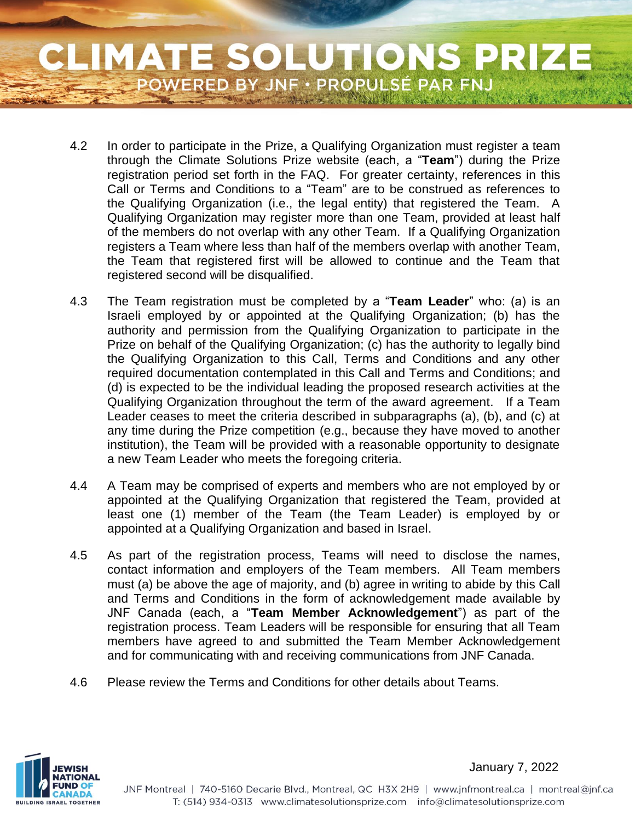# **CLIMATE SOLUTIONS PRIZE** POWERED BY JNF · PROPULSÉ PAR FNJ

- 4.2 In order to participate in the Prize, a Qualifying Organization must register a team through the Climate Solutions Prize website (each, a "**Team**") during the Prize registration period set forth in the FAQ. For greater certainty, references in this Call or Terms and Conditions to a "Team" are to be construed as references to the Qualifying Organization (i.e., the legal entity) that registered the Team. A Qualifying Organization may register more than one Team, provided at least half of the members do not overlap with any other Team. If a Qualifying Organization registers a Team where less than half of the members overlap with another Team, the Team that registered first will be allowed to continue and the Team that registered second will be disqualified.
- 4.3 The Team registration must be completed by a "**Team Leader**" who: (a) is an Israeli employed by or appointed at the Qualifying Organization; (b) has the authority and permission from the Qualifying Organization to participate in the Prize on behalf of the Qualifying Organization; (c) has the authority to legally bind the Qualifying Organization to this Call, Terms and Conditions and any other required documentation contemplated in this Call and Terms and Conditions; and (d) is expected to be the individual leading the proposed research activities at the Qualifying Organization throughout the term of the award agreement. If a Team Leader ceases to meet the criteria described in subparagraphs (a), (b), and (c) at any time during the Prize competition (e.g., because they have moved to another institution), the Team will be provided with a reasonable opportunity to designate a new Team Leader who meets the foregoing criteria.
- 4.4 A Team may be comprised of experts and members who are not employed by or appointed at the Qualifying Organization that registered the Team, provided at least one (1) member of the Team (the Team Leader) is employed by or appointed at a Qualifying Organization and based in Israel.
- 4.5 As part of the registration process, Teams will need to disclose the names, contact information and employers of the Team members. All Team members must (a) be above the age of majority, and (b) agree in writing to abide by this Call and Terms and Conditions in the form of acknowledgement made available by JNF Canada (each, a "**Team Member Acknowledgement**") as part of the registration process. Team Leaders will be responsible for ensuring that all Team members have agreed to and submitted the Team Member Acknowledgement and for communicating with and receiving communications from JNF Canada.
- 4.6 Please review the Terms and Conditions for other details about Teams.

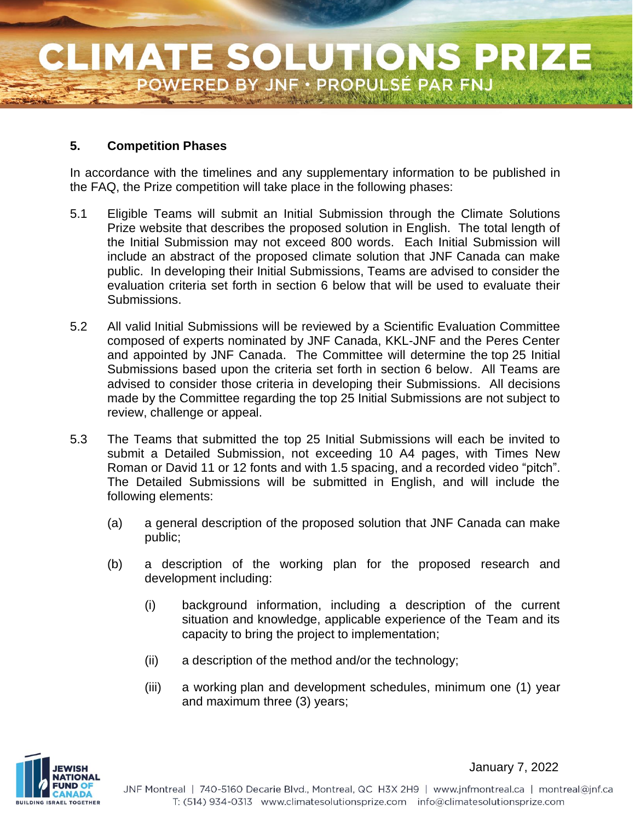#### **5. Competition Phases**

In accordance with the timelines and any supplementary information to be published in the FAQ, the Prize competition will take place in the following phases:

- 5.1 Eligible Teams will submit an Initial Submission through the Climate Solutions Prize website that describes the proposed solution in English. The total length of the Initial Submission may not exceed 800 words. Each Initial Submission will include an abstract of the proposed climate solution that JNF Canada can make public. In developing their Initial Submissions, Teams are advised to consider the evaluation criteria set forth in section 6 below that will be used to evaluate their Submissions.
- 5.2 All valid Initial Submissions will be reviewed by a Scientific Evaluation Committee composed of experts nominated by JNF Canada, KKL-JNF and the Peres Center and appointed by JNF Canada. The Committee will determine the top 25 Initial Submissions based upon the criteria set forth in section 6 below. All Teams are advised to consider those criteria in developing their Submissions. All decisions made by the Committee regarding the top 25 Initial Submissions are not subject to review, challenge or appeal.
- 5.3 The Teams that submitted the top 25 Initial Submissions will each be invited to submit a Detailed Submission, not exceeding 10 A4 pages, with Times New Roman or David 11 or 12 fonts and with 1.5 spacing, and a recorded video "pitch". The Detailed Submissions will be submitted in English, and will include the following elements:
	- (a) a general description of the proposed solution that JNF Canada can make public;
	- (b) a description of the working plan for the proposed research and development including:
		- (i) background information, including a description of the current situation and knowledge, applicable experience of the Team and its capacity to bring the project to implementation;
		- (ii) a description of the method and/or the technology;
		- (iii) a working plan and development schedules, minimum one (1) year and maximum three (3) years;

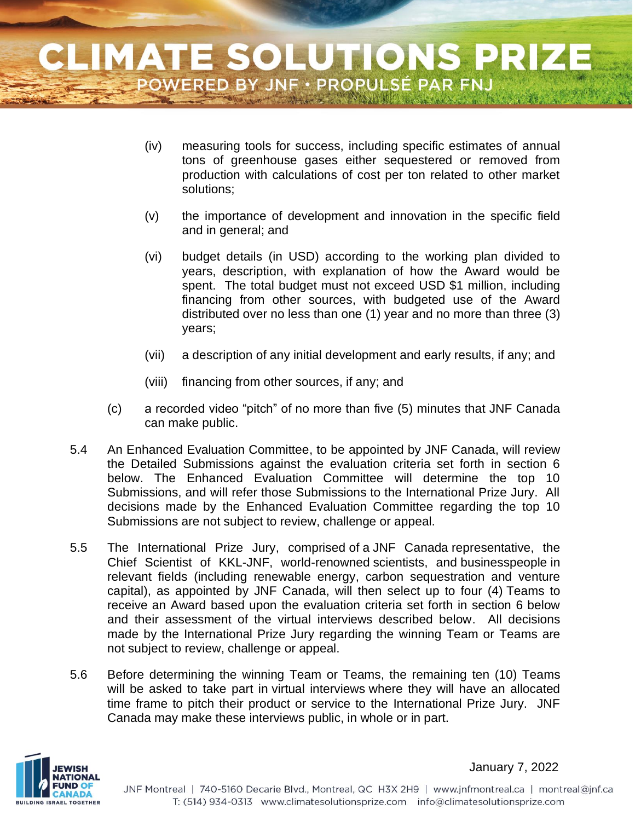- (iv) measuring tools for success, including specific estimates of annual tons of greenhouse gases either sequestered or removed from production with calculations of cost per ton related to other market solutions;
- (v) the importance of development and innovation in the specific field and in general; and
- (vi) budget details (in USD) according to the working plan divided to years, description, with explanation of how the Award would be spent. The total budget must not exceed USD \$1 million, including financing from other sources, with budgeted use of the Award distributed over no less than one (1) year and no more than three (3) years;
- (vii) a description of any initial development and early results, if any; and
- (viii) financing from other sources, if any; and
- (c) a recorded video "pitch" of no more than five (5) minutes that JNF Canada can make public.
- 5.4 An Enhanced Evaluation Committee, to be appointed by JNF Canada, will review the Detailed Submissions against the evaluation criteria set forth in section 6 below. The Enhanced Evaluation Committee will determine the top 10 Submissions, and will refer those Submissions to the International Prize Jury. All decisions made by the Enhanced Evaluation Committee regarding the top 10 Submissions are not subject to review, challenge or appeal.
- 5.5 The International Prize Jury, comprised of a JNF Canada representative, the Chief Scientist of KKL-JNF, world-renowned scientists, and businesspeople in relevant fields (including renewable energy, carbon sequestration and venture capital), as appointed by JNF Canada, will then select up to four (4) Teams to receive an Award based upon the evaluation criteria set forth in section 6 below and their assessment of the virtual interviews described below. All decisions made by the International Prize Jury regarding the winning Team or Teams are not subject to review, challenge or appeal.
- 5.6 Before determining the winning Team or Teams, the remaining ten (10) Teams will be asked to take part in virtual interviews where they will have an allocated time frame to pitch their product or service to the International Prize Jury. JNF Canada may make these interviews public, in whole or in part.

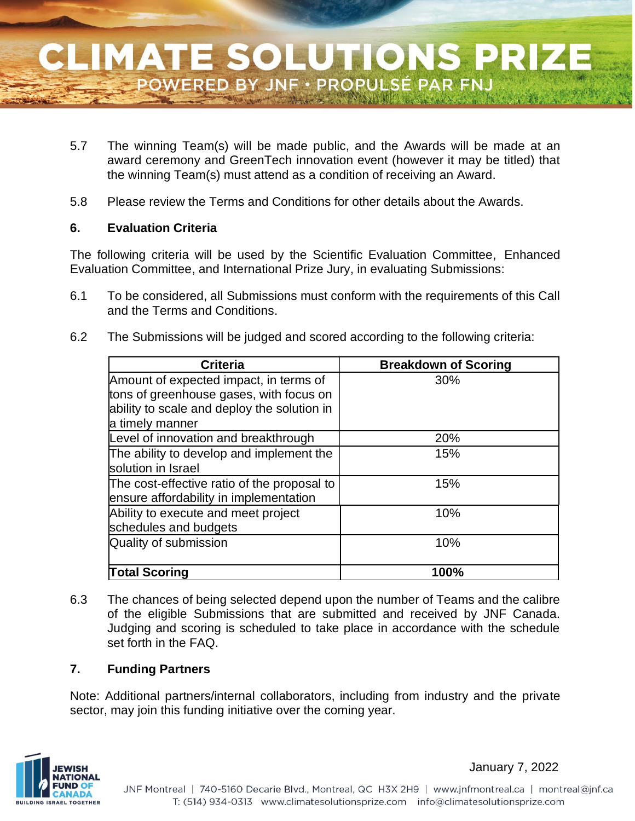- 5.7 The winning Team(s) will be made public, and the Awards will be made at an award ceremony and GreenTech innovation event (however it may be titled) that the winning Team(s) must attend as a condition of receiving an Award.
- 5.8 Please review the Terms and Conditions for other details about the Awards.

#### **6. Evaluation Criteria**

The following criteria will be used by the Scientific Evaluation Committee, Enhanced Evaluation Committee, and International Prize Jury, in evaluating Submissions:

- 6.1 To be considered, all Submissions must conform with the requirements of this Call and the Terms and Conditions.
- 6.2 The Submissions will be judged and scored according to the following criteria:

| <b>Criteria</b>                             | <b>Breakdown of Scoring</b> |
|---------------------------------------------|-----------------------------|
| Amount of expected impact, in terms of      | 30%                         |
| tons of greenhouse gases, with focus on     |                             |
| ability to scale and deploy the solution in |                             |
| a timely manner                             |                             |
| Level of innovation and breakthrough        | 20%                         |
| The ability to develop and implement the    | 15%                         |
| solution in Israel                          |                             |
| The cost-effective ratio of the proposal to | 15%                         |
| ensure affordability in implementation      |                             |
| Ability to execute and meet project         | 10%                         |
| schedules and budgets                       |                             |
| Quality of submission                       | 10%                         |
|                                             |                             |
| <b>Total Scoring</b>                        | 100%                        |

6.3 The chances of being selected depend upon the number of Teams and the calibre of the eligible Submissions that are submitted and received by JNF Canada. Judging and scoring is scheduled to take place in accordance with the schedule set forth in the FAQ.

#### **7. Funding Partners**

Note: Additional partners/internal collaborators, including from industry and the private sector, may join this funding initiative over the coming year.